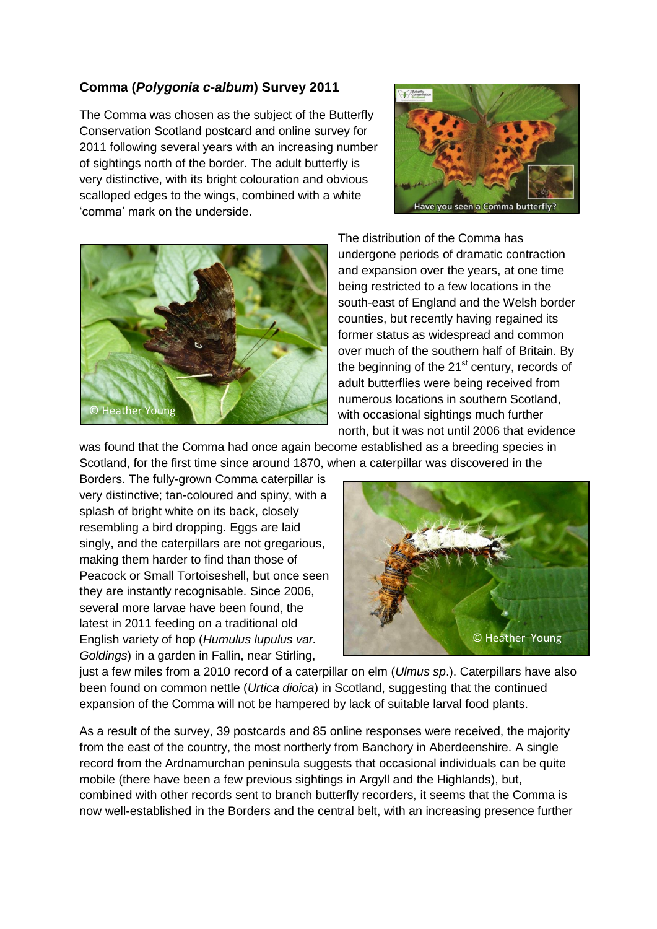## **Comma (***Polygonia c-album***) Survey 2011**

The Comma was chosen as the subject of the Butterfly Conservation Scotland postcard and online survey for 2011 following several years with an increasing number of sightings north of the border. The adult butterfly is very distinctive, with its bright colouration and obvious scalloped edges to the wings, combined with a white 'comma' mark on the underside.





The distribution of the Comma has undergone periods of dramatic contraction and expansion over the years, at one time being restricted to a few locations in the south-east of England and the Welsh border counties, but recently having regained its former status as widespread and common over much of the southern half of Britain. By the beginning of the  $21<sup>st</sup>$  century, records of adult butterflies were being received from numerous locations in southern Scotland, with occasional sightings much further north, but it was not until 2006 that evidence

was found that the Comma had once again become established as a breeding species in Scotland, for the first time since around 1870, when a caterpillar was discovered in the

Borders. The fully-grown Comma caterpillar is very distinctive; tan-coloured and spiny, with a splash of bright white on its back, closely resembling a bird dropping. Eggs are laid singly, and the caterpillars are not gregarious, making them harder to find than those of Peacock or Small Tortoiseshell, but once seen they are instantly recognisable. Since 2006, several more larvae have been found, the latest in 2011 feeding on a traditional old English variety of hop (*Humulus lupulus var. Goldings*) in a garden in Fallin, near Stirling,



just a few miles from a 2010 record of a caterpillar on elm (*Ulmus sp*.). Caterpillars have also been found on common nettle (*Urtica dioica*) in Scotland, suggesting that the continued expansion of the Comma will not be hampered by lack of suitable larval food plants.

As a result of the survey, 39 postcards and 85 online responses were received, the majority from the east of the country, the most northerly from Banchory in Aberdeenshire. A single record from the Ardnamurchan peninsula suggests that occasional individuals can be quite mobile (there have been a few previous sightings in Argyll and the Highlands), but, combined with other records sent to branch butterfly recorders, it seems that the Comma is now well-established in the Borders and the central belt, with an increasing presence further